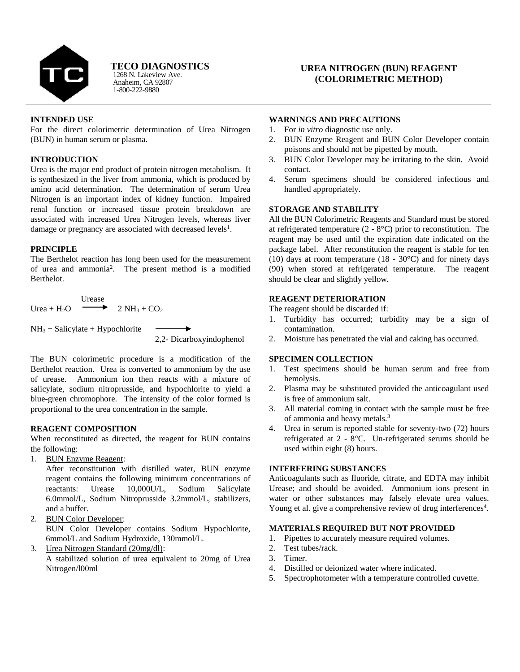

**TECO DIAGNOSTICS**

Anaheim, CA 92807 1-800-222-9880 1268 N. Lakeview Ave.

# **UREA NITROGEN (BUN) REAGENT (COLORIMETRIC METHOD)**

## **INTENDED USE**

For the direct colorimetric determination of Urea Nitrogen (BUN) in human serum or plasma.

## **INTRODUCTION**

Urea is the major end product of protein nitrogen metabolism. It is synthesized in the liver from ammonia, which is produced by amino acid determination. The determination of serum Urea Nitrogen is an important index of kidney function. Impaired renal function or increased tissue protein breakdown are associated with increased Urea Nitrogen levels, whereas liver damage or pregnancy are associated with decreased levels<sup>1</sup>.

## **PRINCIPLE**

The Berthelot reaction has long been used for the measurement of urea and ammonia<sup>2</sup> . The present method is a modified Berthelot.

Urease Urea + H<sub>2</sub>O  $\longrightarrow$  2 NH<sub>3</sub> + CO<sub>2</sub>

 $NH<sub>3</sub> + Salicylate + Hypochlorite$ 

2,2- Dicarboxyindophenol

The BUN colorimetric procedure is a modification of the Berthelot reaction. Urea is converted to ammonium by the use of urease. Ammonium ion then reacts with a mixture of salicylate, sodium nitroprusside, and hypochlorite to yield a blue-green chromophore. The intensity of the color formed is proportional to the urea concentration in the sample.

## **REAGENT COMPOSITION**

When reconstituted as directed, the reagent for BUN contains the following:

1. BUN Enzyme Reagent:

After reconstitution with distilled water, BUN enzyme reagent contains the following minimum concentrations of reactants: Urease 10,000U/L, Sodium Salicylate 6.0mmol/L, Sodium Nitroprusside 3.2mmol/L, stabilizers, and a buffer.

2. BUN Color Developer:

BUN Color Developer contains Sodium Hypochlorite, 6mmol/L and Sodium Hydroxide, 130mmol/L.

3. Urea Nitrogen Standard (20mg/dl):

A stabilized solution of urea equivalent to 20mg of Urea Nitrogen/l00ml

### **WARNINGS AND PRECAUTIONS**

- 1. For *in vitro* diagnostic use only.
- 2. BUN Enzyme Reagent and BUN Color Developer contain poisons and should not be pipetted by mouth.
- 3. BUN Color Developer may be irritating to the skin. Avoid contact.
- 4. Serum specimens should be considered infectious and handled appropriately.

## **STORAGE AND STABILITY**

All the BUN Colorimetric Reagents and Standard must be stored at refrigerated temperature  $(2 - 8^{\circ}C)$  prior to reconstitution. The reagent may be used until the expiration date indicated on the package label. After reconstitution the reagent is stable for ten (10) days at room temperature (18 - 30°C) and for ninety days (90) when stored at refrigerated temperature. The reagent should be clear and slightly yellow.

## **REAGENT DETERIORATION**

The reagent should be discarded if:

- 1. Turbidity has occurred; turbidity may be a sign of contamination.
- 2. Moisture has penetrated the vial and caking has occurred.

## **SPECIMEN COLLECTION**

- 1. Test specimens should be human serum and free from hemolysis.
- 2. Plasma may be substituted provided the anticoagulant used is free of ammonium salt.
- 3. All material coming in contact with the sample must be free of ammonia and heavy metals.<sup>3</sup>
- 4. Urea in serum is reported stable for seventy-two (72) hours refrigerated at 2 - 8°C. Un-refrigerated serums should be used within eight (8) hours.

## **INTERFERING SUBSTANCES**

Anticoagulants such as fluoride, citrate, and EDTA may inhibit Urease; and should be avoided. Ammonium ions present in water or other substances may falsely elevate urea values. Young et al. give a comprehensive review of drug interferences<sup>4</sup>.

## **MATERIALS REQUIRED BUT NOT PROVIDED**

- 1. Pipettes to accurately measure required volumes.
- 2. Test tubes/rack.
- 3. Timer.
- 4. Distilled or deionized water where indicated.
- 5. Spectrophotometer with a temperature controlled cuvette.